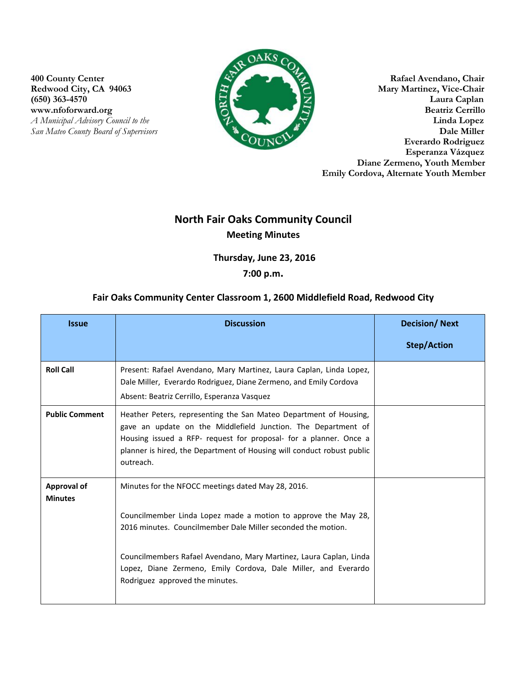www.nfoforward.org **San Mateo County Board of Supervisors** 



**400 County Center Rafael Avendano, Chair**<br> **Rafael Avendano, Chair**<br> **Rafael Avendano, Chair**<br> **Rafael Avendano, Chair Mary Martinez, Vice-Chair** (650) 363-4570 Laura Caplan Laura Caplan Laura Caplan Laura Caplan Laura Caplan Laura Caplan Laura Caplan Laura Caplan Laura Caplan Laura Caplan Laura Caplan Laura Caplan Laura Caplan Laura Caplan Reatriz Cerrillo *A Municipal Advisory Council to the* **Linda Lopez Linda Lopez Council to the <b>Linda Lopez Council to the** *Linda Lopez* **Council to the** *Linda Lopez* **Council to the** *Linda Lopez* **Council to the** *Linda Lopez* **C Everardo Rodriguez Esperanza Vázquez Diane Zermeno, Youth Member Emily Cordova, Alternate Youth Member**

## **North Fair Oaks Community Council Meeting Minutes**

**Thursday, June 23, 2016** 

## **7:00 p.m.**

## **Fair Oaks Community Center Classroom 1, 2600 Middlefield Road, Redwood City**

| <b>Issue</b>                         | <b>Discussion</b>                                                                                                                                                                                                                                                                                                                                               | <b>Decision/Next</b> |
|--------------------------------------|-----------------------------------------------------------------------------------------------------------------------------------------------------------------------------------------------------------------------------------------------------------------------------------------------------------------------------------------------------------------|----------------------|
|                                      |                                                                                                                                                                                                                                                                                                                                                                 | <b>Step/Action</b>   |
| <b>Roll Call</b>                     | Present: Rafael Avendano, Mary Martinez, Laura Caplan, Linda Lopez,<br>Dale Miller, Everardo Rodriguez, Diane Zermeno, and Emily Cordova<br>Absent: Beatriz Cerrillo, Esperanza Vasquez                                                                                                                                                                         |                      |
| <b>Public Comment</b>                | Heather Peters, representing the San Mateo Department of Housing,<br>gave an update on the Middlefield Junction. The Department of<br>Housing issued a RFP- request for proposal- for a planner. Once a<br>planner is hired, the Department of Housing will conduct robust public<br>outreach.                                                                  |                      |
| <b>Approval of</b><br><b>Minutes</b> | Minutes for the NFOCC meetings dated May 28, 2016.<br>Councilmember Linda Lopez made a motion to approve the May 28,<br>2016 minutes. Councilmember Dale Miller seconded the motion.<br>Councilmembers Rafael Avendano, Mary Martinez, Laura Caplan, Linda<br>Lopez, Diane Zermeno, Emily Cordova, Dale Miller, and Everardo<br>Rodriguez approved the minutes. |                      |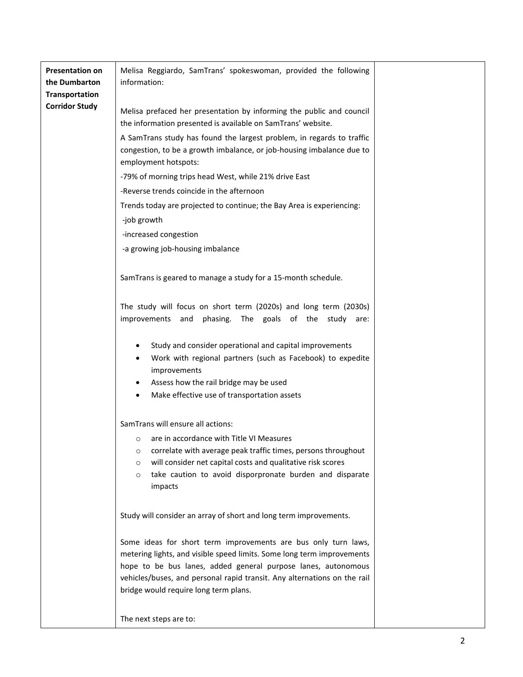| <b>Presentation on</b><br>the Dumbarton | Melisa Reggiardo, SamTrans' spokeswoman, provided the following<br>information:                                                                                                                                                                                                                                                |  |
|-----------------------------------------|--------------------------------------------------------------------------------------------------------------------------------------------------------------------------------------------------------------------------------------------------------------------------------------------------------------------------------|--|
| Transportation                          |                                                                                                                                                                                                                                                                                                                                |  |
| <b>Corridor Study</b>                   | Melisa prefaced her presentation by informing the public and council<br>the information presented is available on SamTrans' website.                                                                                                                                                                                           |  |
|                                         | A SamTrans study has found the largest problem, in regards to traffic<br>congestion, to be a growth imbalance, or job-housing imbalance due to<br>employment hotspots:                                                                                                                                                         |  |
|                                         | -79% of morning trips head West, while 21% drive East                                                                                                                                                                                                                                                                          |  |
|                                         | -Reverse trends coincide in the afternoon                                                                                                                                                                                                                                                                                      |  |
|                                         | Trends today are projected to continue; the Bay Area is experiencing:                                                                                                                                                                                                                                                          |  |
|                                         | -job growth                                                                                                                                                                                                                                                                                                                    |  |
|                                         | -increased congestion                                                                                                                                                                                                                                                                                                          |  |
|                                         | -a growing job-housing imbalance                                                                                                                                                                                                                                                                                               |  |
|                                         |                                                                                                                                                                                                                                                                                                                                |  |
|                                         | SamTrans is geared to manage a study for a 15-month schedule.                                                                                                                                                                                                                                                                  |  |
|                                         | The study will focus on short term (2020s) and long term (2030s)<br>improvements and phasing. The goals of the study are:                                                                                                                                                                                                      |  |
|                                         | Study and consider operational and capital improvements<br>٠<br>Work with regional partners (such as Facebook) to expedite<br>$\bullet$<br>improvements<br>Assess how the rail bridge may be used<br>٠<br>Make effective use of transportation assets                                                                          |  |
|                                         | SamTrans will ensure all actions:                                                                                                                                                                                                                                                                                              |  |
|                                         | are in accordance with Title VI Measures<br>$\circ$                                                                                                                                                                                                                                                                            |  |
|                                         | correlate with average peak traffic times, persons throughout<br>$\circ$                                                                                                                                                                                                                                                       |  |
|                                         | will consider net capital costs and qualitative risk scores<br>$\circ$                                                                                                                                                                                                                                                         |  |
|                                         | take caution to avoid disporpronate burden and disparate<br>$\circ$                                                                                                                                                                                                                                                            |  |
|                                         | impacts                                                                                                                                                                                                                                                                                                                        |  |
|                                         |                                                                                                                                                                                                                                                                                                                                |  |
|                                         | Study will consider an array of short and long term improvements.                                                                                                                                                                                                                                                              |  |
|                                         | Some ideas for short term improvements are bus only turn laws,<br>metering lights, and visible speed limits. Some long term improvements<br>hope to be bus lanes, added general purpose lanes, autonomous<br>vehicles/buses, and personal rapid transit. Any alternations on the rail<br>bridge would require long term plans. |  |
|                                         | The next steps are to:                                                                                                                                                                                                                                                                                                         |  |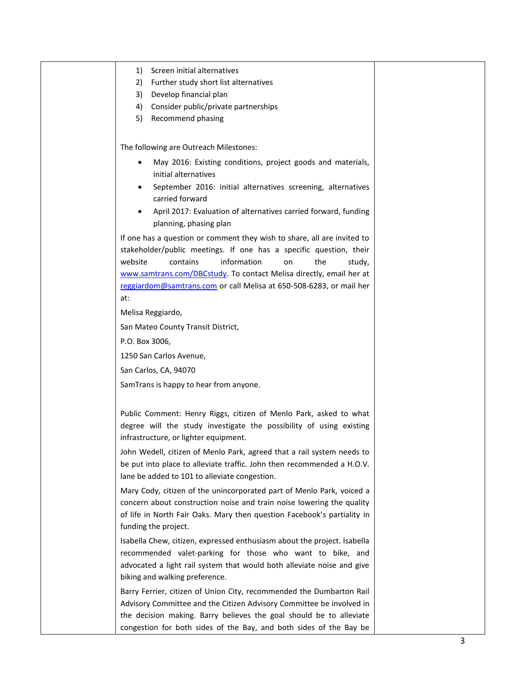1) Screen initial alternatives 2) Further study short list alternatives 3) Develop financial plan 4) Consider public/private partnerships 5) Recommend phasing The following are Outreach Milestones: May 2016: Existing conditions, project goods and materials, initial alternatives September 2016: initial alternatives screening, alternatives carried forward • April 2017: Evaluation of alternatives carried forward, funding planning, phasing plan If one has a question or comment they wish to share, all are invited to stakeholder/public meetings. If one has a specific question, their website contains information on the study, [www.samtrans.com/DBCstudy.](http://www.samtrans.com/DBCstudy) To contact Melisa directly, email her at [reggiardom@samtrans.com](mailto:reggiardom@samtrans.com) or call Melisa at 650-508-6283, or mail her at: Melisa Reggiardo, San Mateo County Transit District, P.O. Box 3006, 1250 San Carlos Avenue, San Carlos, CA, 94070 SamTrans is happy to hear from anyone. Public Comment: Henry Riggs, citizen of Menlo Park, asked to what degree will the study investigate the possibility of using existing infrastructure, or lighter equipment. John Wedell, citizen of Menlo Park, agreed that a rail system needs to be put into place to alleviate traffic. John then recommended a H.O.V. lane be added to 101 to alleviate congestion. Mary Cody, citizen of the unincorporated part of Menlo Park, voiced a concern about construction noise and train noise lowering the quality of life in North Fair Oaks. Mary then question Facebook's partiality in funding the project. Isabella Chew, citizen, expressed enthusiasm about the project. Isabella recommended valet-parking for those who want to bike, and advocated a light rail system that would both alleviate noise and give biking and walking preference. Barry Ferrier, citizen of Union City, recommended the Dumbarton Rail Advisory Committee and the Citizen Advisory Committee be involved in the decision making. Barry believes the goal should be to alleviate

congestion for both sides of the Bay, and both sides of the Bay be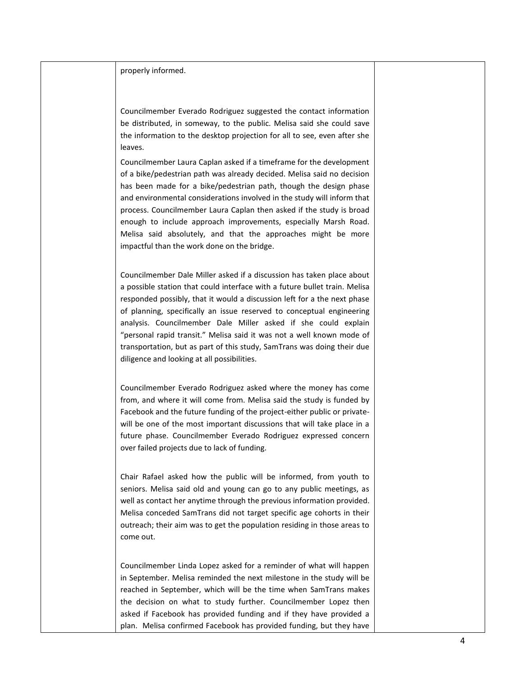properly informed.

Councilmember Everado Rodriguez suggested the contact information be distributed, in someway, to the public. Melisa said she could save the information to the desktop projection for all to see, even after she leaves.

Councilmember Laura Caplan asked if a timeframe for the development of a bike/pedestrian path was already decided. Melisa said no decision has been made for a bike/pedestrian path, though the design phase and environmental considerations involved in the study will inform that process. Councilmember Laura Caplan then asked if the study is broad enough to include approach improvements, especially Marsh Road. Melisa said absolutely, and that the approaches might be more impactful than the work done on the bridge.

Councilmember Dale Miller asked if a discussion has taken place about a possible station that could interface with a future bullet train. Melisa responded possibly, that it would a discussion left for a the next phase of planning, specifically an issue reserved to conceptual engineering analysis. Councilmember Dale Miller asked if she could explain "personal rapid transit." Melisa said it was not a well known mode of transportation, but as part of this study, SamTrans was doing their due diligence and looking at all possibilities.

Councilmember Everado Rodriguez asked where the money has come from, and where it will come from. Melisa said the study is funded by Facebook and the future funding of the project-either public or privatewill be one of the most important discussions that will take place in a future phase. Councilmember Everado Rodriguez expressed concern over failed projects due to lack of funding.

Chair Rafael asked how the public will be informed, from youth to seniors. Melisa said old and young can go to any public meetings, as well as contact her anytime through the previous information provided. Melisa conceded SamTrans did not target specific age cohorts in their outreach; their aim was to get the population residing in those areas to come out.

Councilmember Linda Lopez asked for a reminder of what will happen in September. Melisa reminded the next milestone in the study will be reached in September, which will be the time when SamTrans makes the decision on what to study further. Councilmember Lopez then asked if Facebook has provided funding and if they have provided a plan. Melisa confirmed Facebook has provided funding, but they have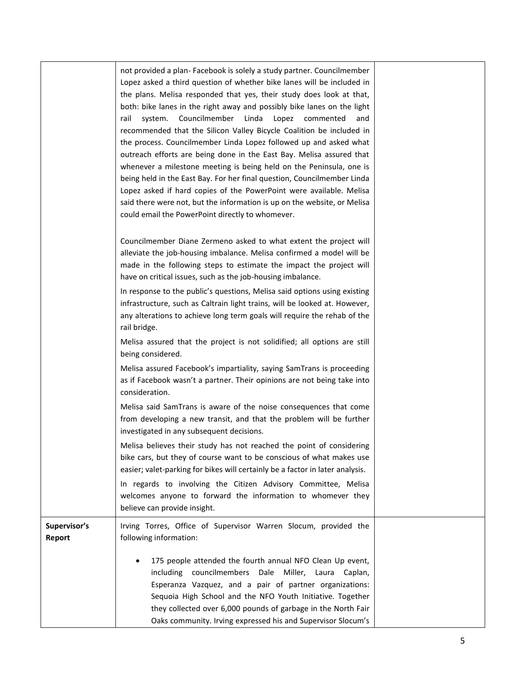|                        | not provided a plan- Facebook is solely a study partner. Councilmember<br>Lopez asked a third question of whether bike lanes will be included in<br>the plans. Melisa responded that yes, their study does look at that,<br>both: bike lanes in the right away and possibly bike lanes on the light<br>system.<br>Councilmember Linda Lopez commented<br>rail<br>and<br>recommended that the Silicon Valley Bicycle Coalition be included in<br>the process. Councilmember Linda Lopez followed up and asked what<br>outreach efforts are being done in the East Bay. Melisa assured that<br>whenever a milestone meeting is being held on the Peninsula, one is<br>being held in the East Bay. For her final question, Councilmember Linda |  |
|------------------------|---------------------------------------------------------------------------------------------------------------------------------------------------------------------------------------------------------------------------------------------------------------------------------------------------------------------------------------------------------------------------------------------------------------------------------------------------------------------------------------------------------------------------------------------------------------------------------------------------------------------------------------------------------------------------------------------------------------------------------------------|--|
|                        | Lopez asked if hard copies of the PowerPoint were available. Melisa<br>said there were not, but the information is up on the website, or Melisa<br>could email the PowerPoint directly to whomever.                                                                                                                                                                                                                                                                                                                                                                                                                                                                                                                                         |  |
|                        | Councilmember Diane Zermeno asked to what extent the project will<br>alleviate the job-housing imbalance. Melisa confirmed a model will be<br>made in the following steps to estimate the impact the project will<br>have on critical issues, such as the job-housing imbalance.                                                                                                                                                                                                                                                                                                                                                                                                                                                            |  |
|                        | In response to the public's questions, Melisa said options using existing<br>infrastructure, such as Caltrain light trains, will be looked at. However,<br>any alterations to achieve long term goals will require the rehab of the<br>rail bridge.                                                                                                                                                                                                                                                                                                                                                                                                                                                                                         |  |
|                        | Melisa assured that the project is not solidified; all options are still<br>being considered.                                                                                                                                                                                                                                                                                                                                                                                                                                                                                                                                                                                                                                               |  |
|                        | Melisa assured Facebook's impartiality, saying SamTrans is proceeding<br>as if Facebook wasn't a partner. Their opinions are not being take into<br>consideration.                                                                                                                                                                                                                                                                                                                                                                                                                                                                                                                                                                          |  |
|                        | Melisa said SamTrans is aware of the noise consequences that come<br>from developing a new transit, and that the problem will be further<br>investigated in any subsequent decisions.                                                                                                                                                                                                                                                                                                                                                                                                                                                                                                                                                       |  |
|                        | Melisa believes their study has not reached the point of considering<br>bike cars, but they of course want to be conscious of what makes use<br>easier; valet-parking for bikes will certainly be a factor in later analysis.                                                                                                                                                                                                                                                                                                                                                                                                                                                                                                               |  |
|                        | In regards to involving the Citizen Advisory Committee, Melisa<br>welcomes anyone to forward the information to whomever they<br>believe can provide insight.                                                                                                                                                                                                                                                                                                                                                                                                                                                                                                                                                                               |  |
| Supervisor's<br>Report | Irving Torres, Office of Supervisor Warren Slocum, provided the<br>following information:                                                                                                                                                                                                                                                                                                                                                                                                                                                                                                                                                                                                                                                   |  |
|                        | 175 people attended the fourth annual NFO Clean Up event,<br>including councilmembers Dale Miller, Laura Caplan,<br>Esperanza Vazquez, and a pair of partner organizations:<br>Sequoia High School and the NFO Youth Initiative. Together<br>they collected over 6,000 pounds of garbage in the North Fair<br>Oaks community. Irving expressed his and Supervisor Slocum's                                                                                                                                                                                                                                                                                                                                                                  |  |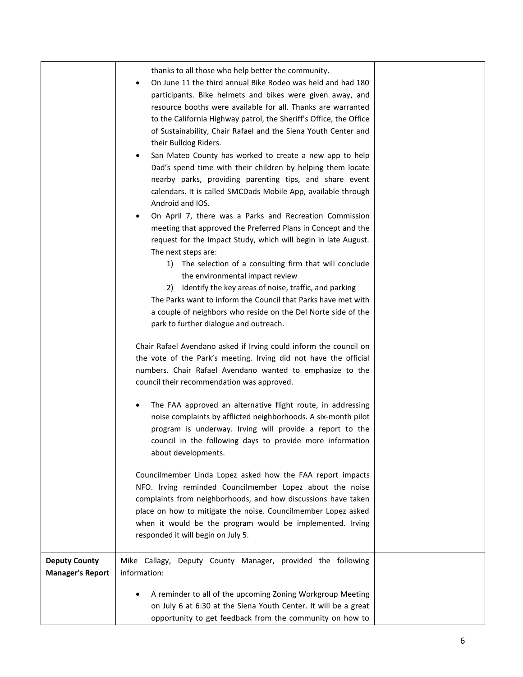|                                                 | thanks to all those who help better the community.<br>On June 11 the third annual Bike Rodeo was held and had 180<br>participants. Bike helmets and bikes were given away, and<br>resource booths were available for all. Thanks are warranted<br>to the California Highway patrol, the Sheriff's Office, the Office<br>of Sustainability, Chair Rafael and the Siena Youth Center and<br>their Bulldog Riders.<br>San Mateo County has worked to create a new app to help<br>Dad's spend time with their children by helping them locate<br>nearby parks, providing parenting tips, and share event<br>calendars. It is called SMCDads Mobile App, available through<br>Android and IOS.<br>On April 7, there was a Parks and Recreation Commission<br>meeting that approved the Preferred Plans in Concept and the<br>request for the Impact Study, which will begin in late August.<br>The next steps are:<br>The selection of a consulting firm that will conclude<br>1)<br>the environmental impact review<br>Identify the key areas of noise, traffic, and parking<br>2)<br>The Parks want to inform the Council that Parks have met with<br>a couple of neighbors who reside on the Del Norte side of the<br>park to further dialogue and outreach.<br>Chair Rafael Avendano asked if Irving could inform the council on<br>the vote of the Park's meeting. Irving did not have the official<br>numbers. Chair Rafael Avendano wanted to emphasize to the<br>council their recommendation was approved.<br>The FAA approved an alternative flight route, in addressing<br>$\bullet$<br>noise complaints by afflicted neighborhoods. A six-month pilot<br>program is underway. Irving will provide a report to the<br>council in the following days to provide more information<br>about developments.<br>Councilmember Linda Lopez asked how the FAA report impacts<br>NFO. Irving reminded Councilmember Lopez about the noise<br>complaints from neighborhoods, and how discussions have taken<br>place on how to mitigate the noise. Councilmember Lopez asked<br>when it would be the program would be implemented. Irving<br>responded it will begin on July 5. |  |
|-------------------------------------------------|-----------------------------------------------------------------------------------------------------------------------------------------------------------------------------------------------------------------------------------------------------------------------------------------------------------------------------------------------------------------------------------------------------------------------------------------------------------------------------------------------------------------------------------------------------------------------------------------------------------------------------------------------------------------------------------------------------------------------------------------------------------------------------------------------------------------------------------------------------------------------------------------------------------------------------------------------------------------------------------------------------------------------------------------------------------------------------------------------------------------------------------------------------------------------------------------------------------------------------------------------------------------------------------------------------------------------------------------------------------------------------------------------------------------------------------------------------------------------------------------------------------------------------------------------------------------------------------------------------------------------------------------------------------------------------------------------------------------------------------------------------------------------------------------------------------------------------------------------------------------------------------------------------------------------------------------------------------------------------------------------------------------------------------------------------------------------------------------------------------------------------------------------------------------------------|--|
|                                                 |                                                                                                                                                                                                                                                                                                                                                                                                                                                                                                                                                                                                                                                                                                                                                                                                                                                                                                                                                                                                                                                                                                                                                                                                                                                                                                                                                                                                                                                                                                                                                                                                                                                                                                                                                                                                                                                                                                                                                                                                                                                                                                                                                                             |  |
| <b>Deputy County</b><br><b>Manager's Report</b> | Mike Callagy, Deputy County Manager, provided the following<br>information:                                                                                                                                                                                                                                                                                                                                                                                                                                                                                                                                                                                                                                                                                                                                                                                                                                                                                                                                                                                                                                                                                                                                                                                                                                                                                                                                                                                                                                                                                                                                                                                                                                                                                                                                                                                                                                                                                                                                                                                                                                                                                                 |  |
|                                                 | A reminder to all of the upcoming Zoning Workgroup Meeting<br>on July 6 at 6:30 at the Siena Youth Center. It will be a great<br>opportunity to get feedback from the community on how to                                                                                                                                                                                                                                                                                                                                                                                                                                                                                                                                                                                                                                                                                                                                                                                                                                                                                                                                                                                                                                                                                                                                                                                                                                                                                                                                                                                                                                                                                                                                                                                                                                                                                                                                                                                                                                                                                                                                                                                   |  |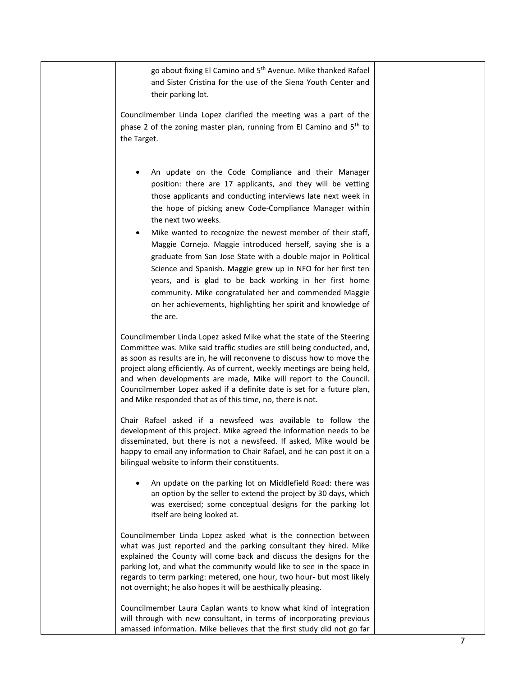go about fixing El Camino and 5<sup>th</sup> Avenue. Mike thanked Rafael and Sister Cristina for the use of the Siena Youth Center and their parking lot.

Councilmember Linda Lopez clarified the meeting was a part of the phase 2 of the zoning master plan, running from El Camino and 5<sup>th</sup> to the Target.

- An update on the Code Compliance and their Manager position: there are 17 applicants, and they will be vetting those applicants and conducting interviews late next week in the hope of picking anew Code-Compliance Manager within the next two weeks.
- Mike wanted to recognize the newest member of their staff, Maggie Cornejo. Maggie introduced herself, saying she is a graduate from San Jose State with a double major in Political Science and Spanish. Maggie grew up in NFO for her first ten years, and is glad to be back working in her first home community. Mike congratulated her and commended Maggie on her achievements, highlighting her spirit and knowledge of the are.

Councilmember Linda Lopez asked Mike what the state of the Steering Committee was. Mike said traffic studies are still being conducted, and, as soon as results are in, he will reconvene to discuss how to move the project along efficiently. As of current, weekly meetings are being held, and when developments are made, Mike will report to the Council. Councilmember Lopez asked if a definite date is set for a future plan, and Mike responded that as of this time, no, there is not.

Chair Rafael asked if a newsfeed was available to follow the development of this project. Mike agreed the information needs to be disseminated, but there is not a newsfeed. If asked, Mike would be happy to email any information to Chair Rafael, and he can post it on a bilingual website to inform their constituents.

• An update on the parking lot on Middlefield Road: there was an option by the seller to extend the project by 30 days, which was exercised; some conceptual designs for the parking lot itself are being looked at.

Councilmember Linda Lopez asked what is the connection between what was just reported and the parking consultant they hired. Mike explained the County will come back and discuss the designs for the parking lot, and what the community would like to see in the space in regards to term parking: metered, one hour, two hour- but most likely not overnight; he also hopes it will be aesthically pleasing.

Councilmember Laura Caplan wants to know what kind of integration will through with new consultant, in terms of incorporating previous amassed information. Mike believes that the first study did not go far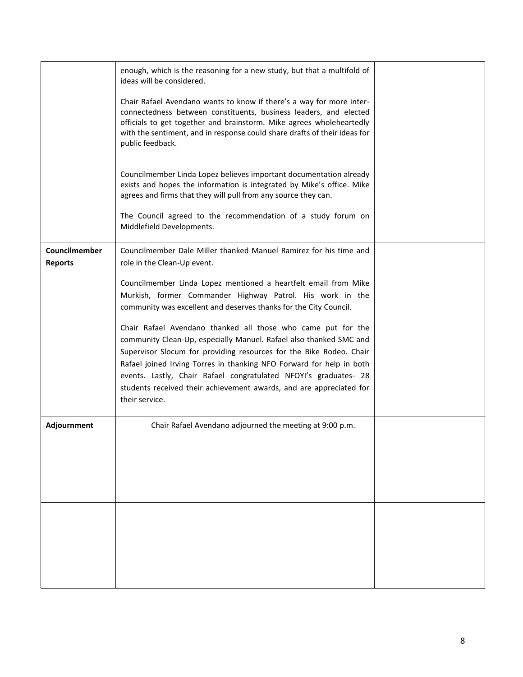|                                 | enough, which is the reasoning for a new study, but that a multifold of<br>ideas will be considered.                                                                                                                                                                                                                                                                                                                                           |  |
|---------------------------------|------------------------------------------------------------------------------------------------------------------------------------------------------------------------------------------------------------------------------------------------------------------------------------------------------------------------------------------------------------------------------------------------------------------------------------------------|--|
|                                 | Chair Rafael Avendano wants to know if there's a way for more inter-<br>connectedness between constituents, business leaders, and elected<br>officials to get together and brainstorm. Mike agrees wholeheartedly<br>with the sentiment, and in response could share drafts of their ideas for<br>public feedback.                                                                                                                             |  |
|                                 | Councilmember Linda Lopez believes important documentation already<br>exists and hopes the information is integrated by Mike's office. Mike<br>agrees and firms that they will pull from any source they can.                                                                                                                                                                                                                                  |  |
|                                 | The Council agreed to the recommendation of a study forum on<br>Middlefield Developments.                                                                                                                                                                                                                                                                                                                                                      |  |
| Councilmember<br><b>Reports</b> | Councilmember Dale Miller thanked Manuel Ramirez for his time and<br>role in the Clean-Up event.                                                                                                                                                                                                                                                                                                                                               |  |
|                                 | Councilmember Linda Lopez mentioned a heartfelt email from Mike<br>Murkish, former Commander Highway Patrol. His work in the<br>community was excellent and deserves thanks for the City Council.                                                                                                                                                                                                                                              |  |
|                                 | Chair Rafael Avendano thanked all those who came put for the<br>community Clean-Up, especially Manuel. Rafael also thanked SMC and<br>Supervisor Slocum for providing resources for the Bike Rodeo. Chair<br>Rafael joined Irving Torres in thanking NFO Forward for help in both<br>events. Lastly, Chair Rafael congratulated NFOYI's graduates- 28<br>students received their achievement awards, and are appreciated for<br>their service. |  |
| Adjournment                     | Chair Rafael Avendano adjourned the meeting at 9:00 p.m.                                                                                                                                                                                                                                                                                                                                                                                       |  |
|                                 |                                                                                                                                                                                                                                                                                                                                                                                                                                                |  |
|                                 |                                                                                                                                                                                                                                                                                                                                                                                                                                                |  |
|                                 |                                                                                                                                                                                                                                                                                                                                                                                                                                                |  |
|                                 |                                                                                                                                                                                                                                                                                                                                                                                                                                                |  |
|                                 |                                                                                                                                                                                                                                                                                                                                                                                                                                                |  |